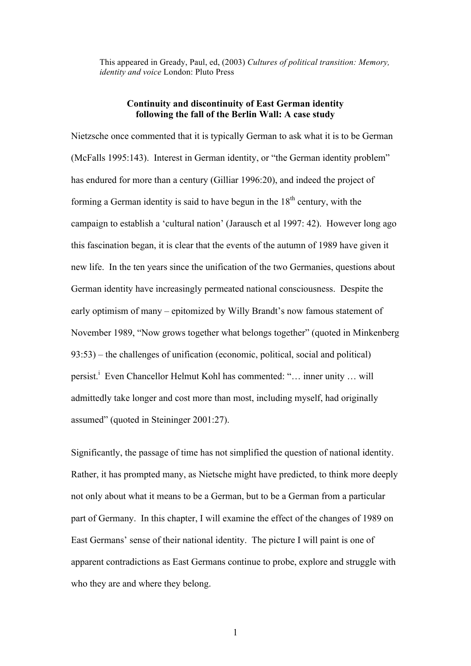This appeared in Gready, Paul, ed, (2003) *Cultures of political transition: Memory, identity and voice* London: Pluto Press

### **Continuity and discontinuity of East German identity following the fall of the Berlin Wall: A case study**

Nietzsche once commented that it is typically German to ask what it is to be German (McFalls 1995:143). Interest in German identity, or "the German identity problem" has endured for more than a century (Gilliar 1996:20), and indeed the project of forming a German identity is said to have begun in the  $18<sup>th</sup>$  century, with the campaign to establish a 'cultural nation' (Jarausch et al 1997: 42). However long ago this fascination began, it is clear that the events of the autumn of 1989 have given it new life. In the ten years since the unification of the two Germanies, questions about German identity have increasingly permeated national consciousness. Despite the early optimism of many – epitomized by Willy Brandt's now famous statement of November 1989, "Now grows together what belongs together" (quoted in Minkenberg 93:53) – the challenges of unification (economic, political, social and political) persist.<sup>i</sup> Even Chancellor Helmut Kohl has commented: "... inner unity ... will admittedly take longer and cost more than most, including myself, had originally assumed" (quoted in Steininger 2001:27).

Significantly, the passage of time has not simplified the question of national identity. Rather, it has prompted many, as Nietsche might have predicted, to think more deeply not only about what it means to be a German, but to be a German from a particular part of Germany. In this chapter, I will examine the effect of the changes of 1989 on East Germans' sense of their national identity. The picture I will paint is one of apparent contradictions as East Germans continue to probe, explore and struggle with who they are and where they belong.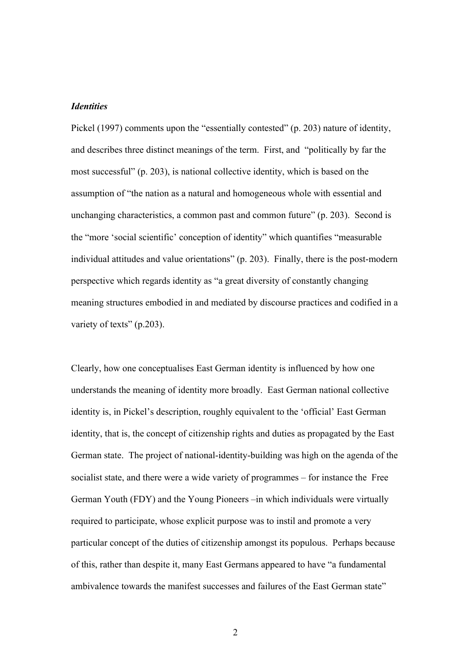### *Identities*

Pickel (1997) comments upon the "essentially contested" (p. 203) nature of identity, and describes three distinct meanings of the term. First, and "politically by far the most successful" (p. 203), is national collective identity, which is based on the assumption of "the nation as a natural and homogeneous whole with essential and unchanging characteristics, a common past and common future" (p. 203). Second is the "more 'social scientific' conception of identity" which quantifies "measurable individual attitudes and value orientations" (p. 203). Finally, there is the post-modern perspective which regards identity as "a great diversity of constantly changing meaning structures embodied in and mediated by discourse practices and codified in a variety of texts" (p.203).

Clearly, how one conceptualises East German identity is influenced by how one understands the meaning of identity more broadly. East German national collective identity is, in Pickel's description, roughly equivalent to the 'official' East German identity, that is, the concept of citizenship rights and duties as propagated by the East German state. The project of national-identity-building was high on the agenda of the socialist state, and there were a wide variety of programmes – for instance the Free German Youth (FDY) and the Young Pioneers –in which individuals were virtually required to participate, whose explicit purpose was to instil and promote a very particular concept of the duties of citizenship amongst its populous. Perhaps because of this, rather than despite it, many East Germans appeared to have "a fundamental ambivalence towards the manifest successes and failures of the East German state"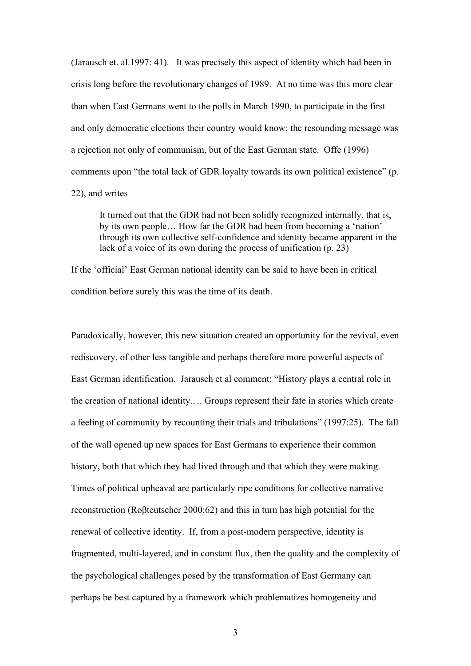(Jarausch et. al.1997: 41). It was precisely this aspect of identity which had been in crisis long before the revolutionary changes of 1989. At no time was this more clear than when East Germans went to the polls in March 1990, to participate in the first and only democratic elections their country would know; the resounding message was a rejection not only of communism, but of the East German state. Offe (1996) comments upon "the total lack of GDR loyalty towards its own political existence" (p. 22), and writes

It turned out that the GDR had not been solidly recognized internally, that is, by its own people… How far the GDR had been from becoming a 'nation' through its own collective self-confidence and identity became apparent in the lack of a voice of its own during the process of unification (p. 23)

If the 'official' East German national identity can be said to have been in critical condition before surely this was the time of its death.

Paradoxically, however, this new situation created an opportunity for the revival, even rediscovery, of other less tangible and perhaps therefore more powerful aspects of East German identification. Jarausch et al comment: "History plays a central role in the creation of national identity…. Groups represent their fate in stories which create a feeling of community by recounting their trials and tribulations" (1997:25). The fall of the wall opened up new spaces for East Germans to experience their common history, both that which they had lived through and that which they were making. Times of political upheaval are particularly ripe conditions for collective narrative reconstruction (Roβteutscher 2000:62) and this in turn has high potential for the renewal of collective identity. If, from a post-modern perspective, identity is fragmented, multi-layered, and in constant flux, then the quality and the complexity of the psychological challenges posed by the transformation of East Germany can perhaps be best captured by a framework which problematizes homogeneity and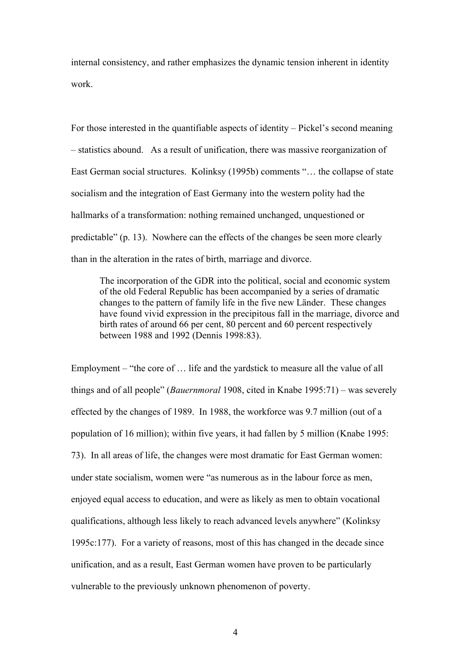internal consistency, and rather emphasizes the dynamic tension inherent in identity work.

For those interested in the quantifiable aspects of identity – Pickel's second meaning – statistics abound. As a result of unification, there was massive reorganization of East German social structures. Kolinksy (1995b) comments "… the collapse of state socialism and the integration of East Germany into the western polity had the hallmarks of a transformation: nothing remained unchanged, unquestioned or predictable" (p. 13). Nowhere can the effects of the changes be seen more clearly than in the alteration in the rates of birth, marriage and divorce.

The incorporation of the GDR into the political, social and economic system of the old Federal Republic has been accompanied by a series of dramatic changes to the pattern of family life in the five new Länder. These changes have found vivid expression in the precipitous fall in the marriage, divorce and birth rates of around 66 per cent, 80 percent and 60 percent respectively between 1988 and 1992 (Dennis 1998:83).

Employment – "the core of … life and the yardstick to measure all the value of all things and of all people" (*Bauernmoral* 1908, cited in Knabe 1995:71) – was severely effected by the changes of 1989. In 1988, the workforce was 9.7 million (out of a population of 16 million); within five years, it had fallen by 5 million (Knabe 1995: 73). In all areas of life, the changes were most dramatic for East German women: under state socialism, women were "as numerous as in the labour force as men, enjoyed equal access to education, and were as likely as men to obtain vocational qualifications, although less likely to reach advanced levels anywhere" (Kolinksy 1995c:177). For a variety of reasons, most of this has changed in the decade since unification, and as a result, East German women have proven to be particularly vulnerable to the previously unknown phenomenon of poverty.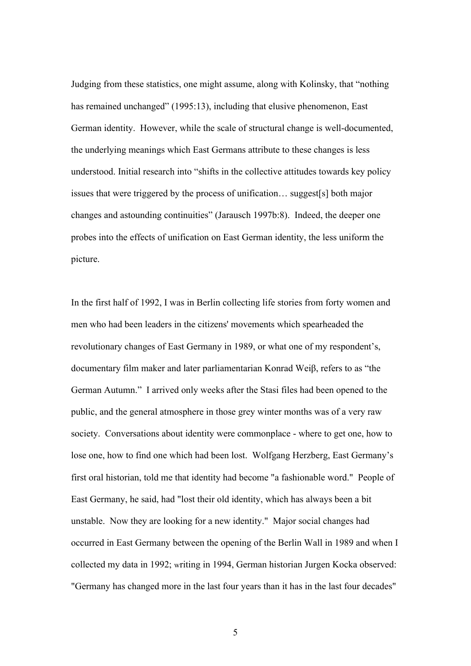Judging from these statistics, one might assume, along with Kolinsky, that "nothing has remained unchanged" (1995:13), including that elusive phenomenon, East German identity. However, while the scale of structural change is well-documented, the underlying meanings which East Germans attribute to these changes is less understood. Initial research into "shifts in the collective attitudes towards key policy issues that were triggered by the process of unification… suggest[s] both major changes and astounding continuities" (Jarausch 1997b:8). Indeed, the deeper one probes into the effects of unification on East German identity, the less uniform the picture.

In the first half of 1992, I was in Berlin collecting life stories from forty women and men who had been leaders in the citizens' movements which spearheaded the revolutionary changes of East Germany in 1989, or what one of my respondent's, documentary film maker and later parliamentarian Konrad Weiβ, refers to as "the German Autumn." I arrived only weeks after the Stasi files had been opened to the public, and the general atmosphere in those grey winter months was of a very raw society. Conversations about identity were commonplace - where to get one, how to lose one, how to find one which had been lost. Wolfgang Herzberg, East Germany's first oral historian, told me that identity had become "a fashionable word." People of East Germany, he said, had "lost their old identity, which has always been a bit unstable. Now they are looking for a new identity." Major social changes had occurred in East Germany between the opening of the Berlin Wall in 1989 and when I collected my data in 1992; writing in 1994, German historian Jurgen Kocka observed: "Germany has changed more in the last four years than it has in the last four decades"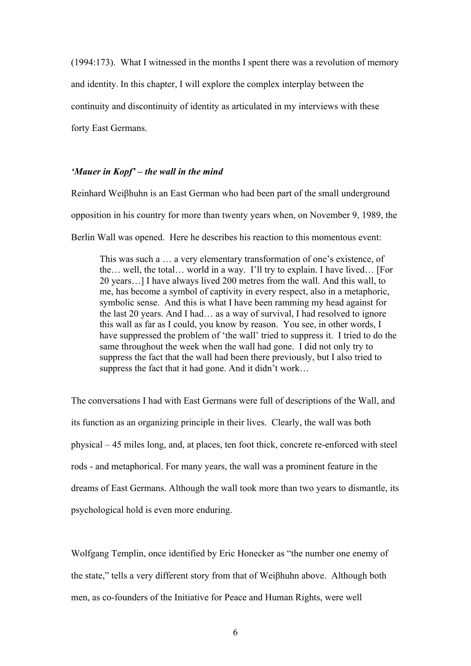(1994:173). What I witnessed in the months I spent there was a revolution of memory and identity. In this chapter, I will explore the complex interplay between the continuity and discontinuity of identity as articulated in my interviews with these forty East Germans.

## *'Mauer in Kopf' – the wall in the mind*

Reinhard Weiβhuhn is an East German who had been part of the small underground opposition in his country for more than twenty years when, on November 9, 1989, the Berlin Wall was opened. Here he describes his reaction to this momentous event:

This was such a … a very elementary transformation of one's existence, of the… well, the total… world in a way. I'll try to explain. I have lived… [For 20 years…] I have always lived 200 metres from the wall. And this wall, to me, has become a symbol of captivity in every respect, also in a metaphoric, symbolic sense. And this is what I have been ramming my head against for the last 20 years. And I had… as a way of survival, I had resolved to ignore this wall as far as I could, you know by reason. You see, in other words, I have suppressed the problem of 'the wall' tried to suppress it. I tried to do the same throughout the week when the wall had gone. I did not only try to suppress the fact that the wall had been there previously, but I also tried to suppress the fact that it had gone. And it didn't work…

The conversations I had with East Germans were full of descriptions of the Wall, and its function as an organizing principle in their lives. Clearly, the wall was both physical – 45 miles long, and, at places, ten foot thick, concrete re-enforced with steel rods - and metaphorical. For many years, the wall was a prominent feature in the dreams of East Germans. Although the wall took more than two years to dismantle, its psychological hold is even more enduring.

Wolfgang Templin, once identified by Eric Honecker as "the number one enemy of the state," tells a very different story from that of Weiβhuhn above. Although both men, as co-founders of the Initiative for Peace and Human Rights, were well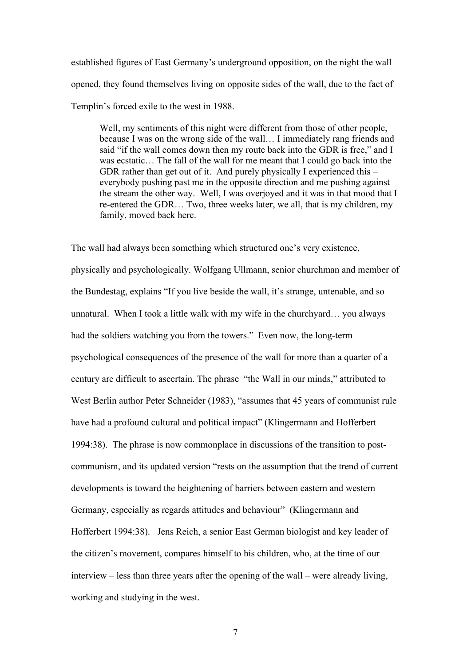established figures of East Germany's underground opposition, on the night the wall opened, they found themselves living on opposite sides of the wall, due to the fact of Templin's forced exile to the west in 1988.

Well, my sentiments of this night were different from those of other people, because I was on the wrong side of the wall… I immediately rang friends and said "if the wall comes down then my route back into the GDR is free," and I was ecstatic… The fall of the wall for me meant that I could go back into the GDR rather than get out of it. And purely physically I experienced this – everybody pushing past me in the opposite direction and me pushing against the stream the other way. Well, I was overjoyed and it was in that mood that I re-entered the GDR… Two, three weeks later, we all, that is my children, my family, moved back here.

The wall had always been something which structured one's very existence, physically and psychologically. Wolfgang Ullmann, senior churchman and member of the Bundestag, explains "If you live beside the wall, it's strange, untenable, and so unnatural. When I took a little walk with my wife in the churchyard… you always had the soldiers watching you from the towers." Even now, the long-term psychological consequences of the presence of the wall for more than a quarter of a century are difficult to ascertain. The phrase "the Wall in our minds," attributed to West Berlin author Peter Schneider (1983), "assumes that 45 years of communist rule have had a profound cultural and political impact" (Klingermann and Hofferbert 1994:38). The phrase is now commonplace in discussions of the transition to postcommunism, and its updated version "rests on the assumption that the trend of current developments is toward the heightening of barriers between eastern and western Germany, especially as regards attitudes and behaviour" (Klingermann and Hofferbert 1994:38). Jens Reich, a senior East German biologist and key leader of the citizen's movement, compares himself to his children, who, at the time of our interview – less than three years after the opening of the wall – were already living, working and studying in the west.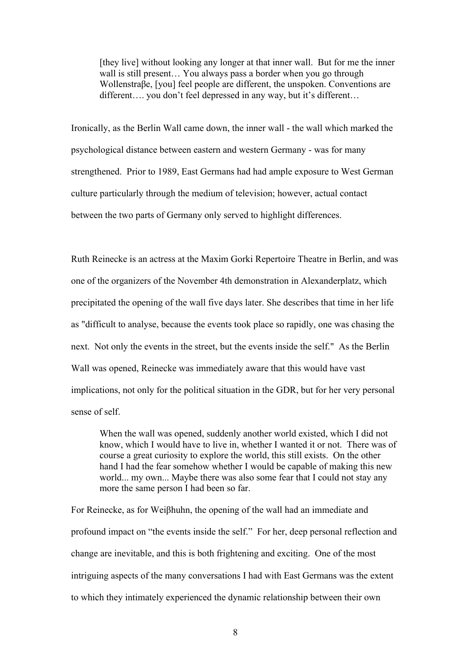[they live] without looking any longer at that inner wall. But for me the inner wall is still present… You always pass a border when you go through Wollenstraβe, [you] feel people are different, the unspoken. Conventions are different.... you don't feel depressed in any way, but it's different...

Ironically, as the Berlin Wall came down, the inner wall - the wall which marked the psychological distance between eastern and western Germany - was for many strengthened. Prior to 1989, East Germans had had ample exposure to West German culture particularly through the medium of television; however, actual contact between the two parts of Germany only served to highlight differences.

Ruth Reinecke is an actress at the Maxim Gorki Repertoire Theatre in Berlin, and was one of the organizers of the November 4th demonstration in Alexanderplatz, which precipitated the opening of the wall five days later. She describes that time in her life as "difficult to analyse, because the events took place so rapidly, one was chasing the next. Not only the events in the street, but the events inside the self." As the Berlin Wall was opened, Reinecke was immediately aware that this would have vast implications, not only for the political situation in the GDR, but for her very personal sense of self.

When the wall was opened, suddenly another world existed, which I did not know, which I would have to live in, whether I wanted it or not. There was of course a great curiosity to explore the world, this still exists. On the other hand I had the fear somehow whether I would be capable of making this new world... my own... Maybe there was also some fear that I could not stay any more the same person I had been so far.

For Reinecke, as for Weiβhuhn, the opening of the wall had an immediate and profound impact on "the events inside the self." For her, deep personal reflection and change are inevitable, and this is both frightening and exciting. One of the most intriguing aspects of the many conversations I had with East Germans was the extent to which they intimately experienced the dynamic relationship between their own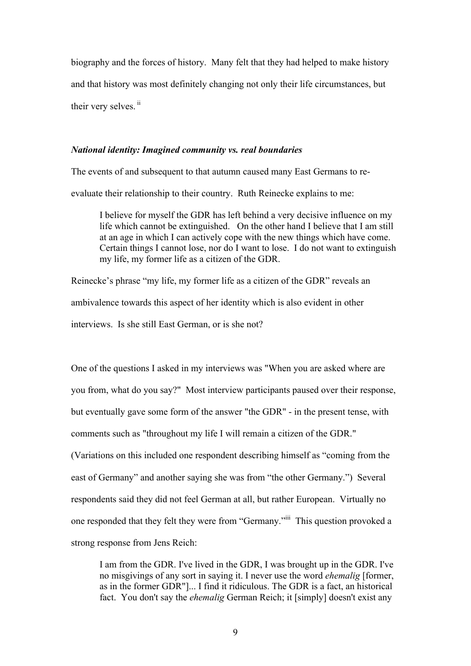biography and the forces of history. Many felt that they had helped to make history and that history was most definitely changing not only their life circumstances, but their very selves.<sup>ii</sup>

### *National identity: Imagined community vs. real boundaries*

The events of and subsequent to that autumn caused many East Germans to reevaluate their relationship to their country. Ruth Reinecke explains to me:

I believe for myself the GDR has left behind a very decisive influence on my life which cannot be extinguished. On the other hand I believe that I am still at an age in which I can actively cope with the new things which have come. Certain things I cannot lose, nor do I want to lose. I do not want to extinguish my life, my former life as a citizen of the GDR.

Reinecke's phrase "my life, my former life as a citizen of the GDR" reveals an ambivalence towards this aspect of her identity which is also evident in other interviews. Is she still East German, or is she not?

One of the questions I asked in my interviews was "When you are asked where are you from, what do you say?" Most interview participants paused over their response, but eventually gave some form of the answer "the GDR" - in the present tense, with comments such as "throughout my life I will remain a citizen of the GDR." (Variations on this included one respondent describing himself as "coming from the east of Germany" and another saying she was from "the other Germany.") Several respondents said they did not feel German at all, but rather European. Virtually no one responded that they felt they were from "Germany."iii This question provoked a strong response from Jens Reich:

I am from the GDR. I've lived in the GDR, I was brought up in the GDR. I've no misgivings of any sort in saying it. I never use the word *ehemalig* [former, as in the former GDR"]... I find it ridiculous. The GDR is a fact, an historical fact. You don't say the *ehemalig* German Reich; it [simply] doesn't exist any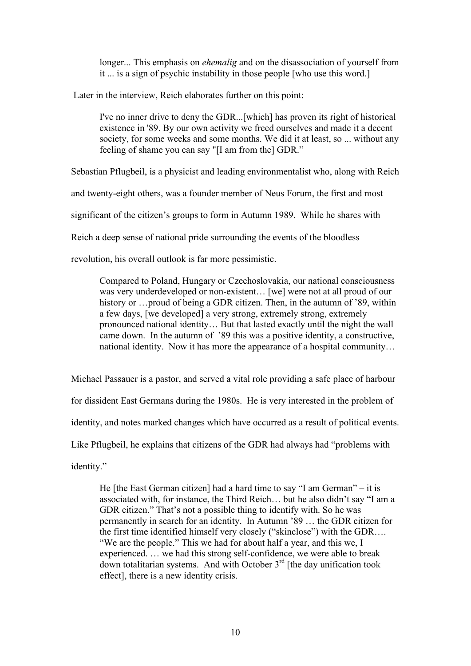longer... This emphasis on *ehemalig* and on the disassociation of yourself from it ... is a sign of psychic instability in those people [who use this word.]

Later in the interview, Reich elaborates further on this point:

I've no inner drive to deny the GDR...[which] has proven its right of historical existence in '89. By our own activity we freed ourselves and made it a decent society, for some weeks and some months. We did it at least, so ... without any feeling of shame you can say "[I am from the] GDR."

Sebastian Pflugbeil, is a physicist and leading environmentalist who, along with Reich

and twenty-eight others, was a founder member of Neus Forum, the first and most

significant of the citizen's groups to form in Autumn 1989. While he shares with

Reich a deep sense of national pride surrounding the events of the bloodless

revolution, his overall outlook is far more pessimistic.

Compared to Poland, Hungary or Czechoslovakia, our national consciousness was very underdeveloped or non-existent… [we] were not at all proud of our history or …proud of being a GDR citizen. Then, in the autumn of '89, within a few days, [we developed] a very strong, extremely strong, extremely pronounced national identity… But that lasted exactly until the night the wall came down. In the autumn of '89 this was a positive identity, a constructive, national identity. Now it has more the appearance of a hospital community…

Michael Passauer is a pastor, and served a vital role providing a safe place of harbour

for dissident East Germans during the 1980s. He is very interested in the problem of

identity, and notes marked changes which have occurred as a result of political events.

Like Pflugbeil, he explains that citizens of the GDR had always had "problems with

identity."

He [the East German citizen] had a hard time to say "I am German" – it is associated with, for instance, the Third Reich… but he also didn't say "I am a GDR citizen." That's not a possible thing to identify with. So he was permanently in search for an identity. In Autumn '89 … the GDR citizen for the first time identified himself very closely ("skinclose") with the GDR…. "We are the people." This we had for about half a year, and this we, I experienced. … we had this strong self-confidence, we were able to break down totalitarian systems. And with October 3<sup>rd</sup> [the day unification took effect], there is a new identity crisis.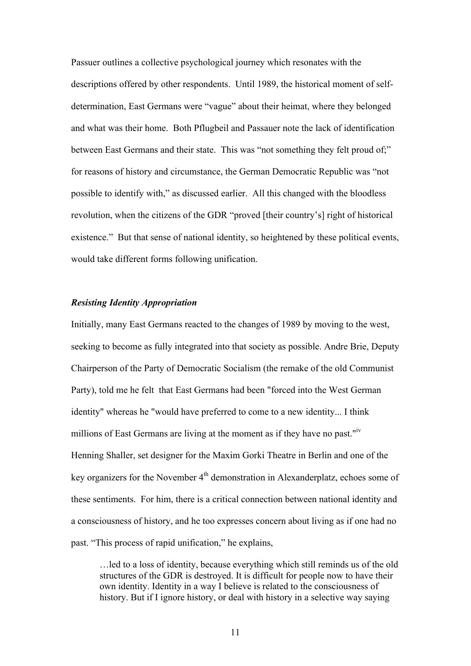Passuer outlines a collective psychological journey which resonates with the descriptions offered by other respondents. Until 1989, the historical moment of selfdetermination, East Germans were "vague" about their heimat, where they belonged and what was their home. Both Pflugbeil and Passauer note the lack of identification between East Germans and their state. This was "not something they felt proud of;" for reasons of history and circumstance, the German Democratic Republic was "not possible to identify with," as discussed earlier. All this changed with the bloodless revolution, when the citizens of the GDR "proved [their country's] right of historical existence." But that sense of national identity, so heightened by these political events, would take different forms following unification.

### *Resisting Identity Appropriation*

Initially, many East Germans reacted to the changes of 1989 by moving to the west, seeking to become as fully integrated into that society as possible. Andre Brie, Deputy Chairperson of the Party of Democratic Socialism (the remake of the old Communist Party), told me he felt that East Germans had been "forced into the West German identity" whereas he "would have preferred to come to a new identity... I think millions of East Germans are living at the moment as if they have no past."<sup>iv</sup> Henning Shaller, set designer for the Maxim Gorki Theatre in Berlin and one of the key organizers for the November  $4<sup>th</sup>$  demonstration in Alexanderplatz, echoes some of these sentiments. For him, there is a critical connection between national identity and a consciousness of history, and he too expresses concern about living as if one had no past. "This process of rapid unification," he explains,

…led to a loss of identity, because everything which still reminds us of the old structures of the GDR is destroyed. It is difficult for people now to have their own identity. Identity in a way I believe is related to the consciousness of history. But if I ignore history, or deal with history in a selective way saying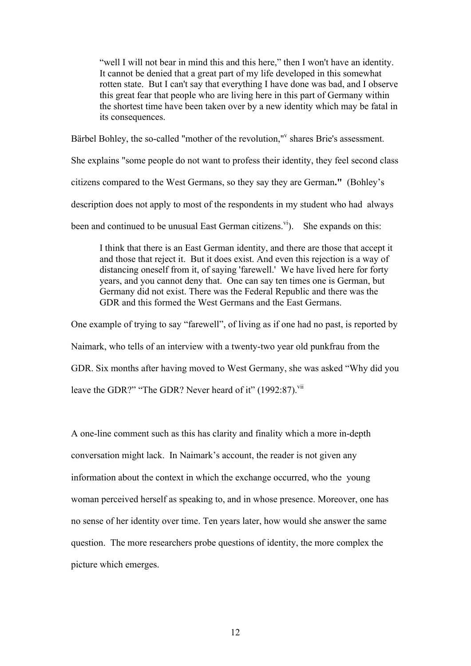"well I will not bear in mind this and this here," then I won't have an identity. It cannot be denied that a great part of my life developed in this somewhat rotten state. But I can't say that everything I have done was bad, and I observe this great fear that people who are living here in this part of Germany within the shortest time have been taken over by a new identity which may be fatal in its consequences.

Bärbel Bohley, the so-called "mother of the revolution," shares Brie's assessment.

She explains "some people do not want to profess their identity, they feel second class

citizens compared to the West Germans, so they say they are German**."** (Bohley's

description does not apply to most of the respondents in my student who had always

been and continued to be unusual East German citizens.<sup> $vi$ </sup>). She expands on this:

I think that there is an East German identity, and there are those that accept it and those that reject it. But it does exist. And even this rejection is a way of distancing oneself from it, of saying 'farewell.' We have lived here for forty years, and you cannot deny that. One can say ten times one is German, but Germany did not exist. There was the Federal Republic and there was the GDR and this formed the West Germans and the East Germans.

One example of trying to say "farewell", of living as if one had no past, is reported by

Naimark, who tells of an interview with a twenty-two year old punkfrau from the

GDR. Six months after having moved to West Germany, she was asked "Why did you

leave the GDR?" "The GDR? Never heard of it" (1992:87).<sup>vii</sup>

A one-line comment such as this has clarity and finality which a more in-depth conversation might lack. In Naimark's account, the reader is not given any information about the context in which the exchange occurred, who the young woman perceived herself as speaking to, and in whose presence. Moreover, one has no sense of her identity over time. Ten years later, how would she answer the same question. The more researchers probe questions of identity, the more complex the picture which emerges.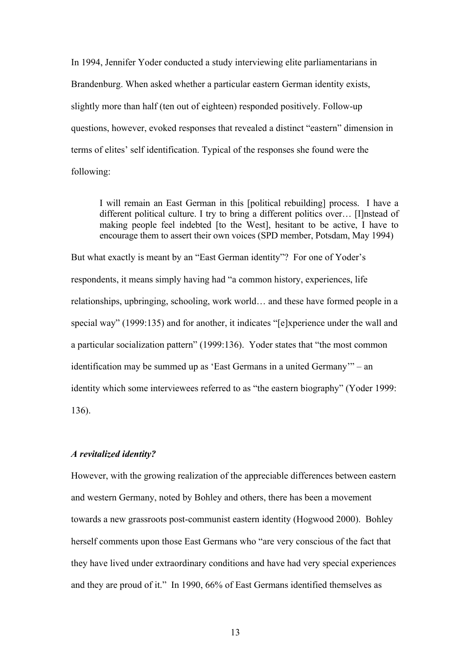In 1994, Jennifer Yoder conducted a study interviewing elite parliamentarians in Brandenburg. When asked whether a particular eastern German identity exists, slightly more than half (ten out of eighteen) responded positively. Follow-up questions, however, evoked responses that revealed a distinct "eastern" dimension in terms of elites' self identification. Typical of the responses she found were the following:

I will remain an East German in this [political rebuilding] process. I have a different political culture. I try to bring a different politics over… [I]nstead of making people feel indebted [to the West], hesitant to be active, I have to encourage them to assert their own voices (SPD member, Potsdam, May 1994)

But what exactly is meant by an "East German identity"? For one of Yoder's respondents, it means simply having had "a common history, experiences, life relationships, upbringing, schooling, work world… and these have formed people in a special way" (1999:135) and for another, it indicates "[e]xperience under the wall and a particular socialization pattern" (1999:136). Yoder states that "the most common identification may be summed up as 'East Germans in a united Germany'" – an identity which some interviewees referred to as "the eastern biography" (Yoder 1999: 136).

# *A revitalized identity?*

However, with the growing realization of the appreciable differences between eastern and western Germany, noted by Bohley and others, there has been a movement towards a new grassroots post-communist eastern identity (Hogwood 2000). Bohley herself comments upon those East Germans who "are very conscious of the fact that they have lived under extraordinary conditions and have had very special experiences and they are proud of it." In 1990, 66% of East Germans identified themselves as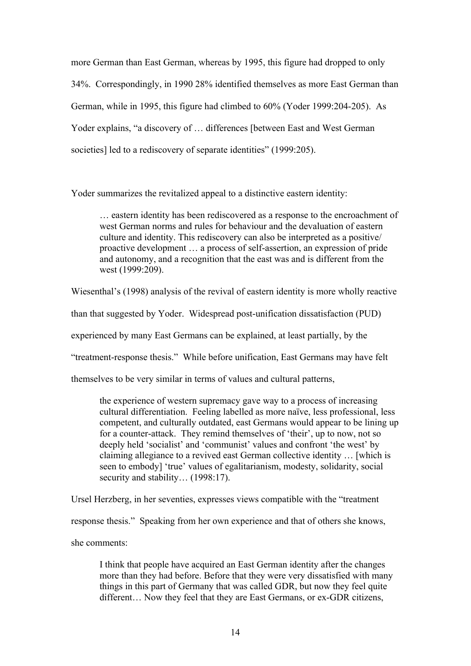more German than East German, whereas by 1995, this figure had dropped to only 34%. Correspondingly, in 1990 28% identified themselves as more East German than German, while in 1995, this figure had climbed to 60% (Yoder 1999:204-205). As Yoder explains, "a discovery of … differences [between East and West German societies] led to a rediscovery of separate identities" (1999:205).

Yoder summarizes the revitalized appeal to a distinctive eastern identity:

… eastern identity has been rediscovered as a response to the encroachment of west German norms and rules for behaviour and the devaluation of eastern culture and identity. This rediscovery can also be interpreted as a positive/ proactive development … a process of self-assertion, an expression of pride and autonomy, and a recognition that the east was and is different from the west (1999:209).

Wiesenthal's (1998) analysis of the revival of eastern identity is more wholly reactive

than that suggested by Yoder. Widespread post-unification dissatisfaction (PUD)

experienced by many East Germans can be explained, at least partially, by the

"treatment-response thesis." While before unification, East Germans may have felt

themselves to be very similar in terms of values and cultural patterns,

the experience of western supremacy gave way to a process of increasing cultural differentiation. Feeling labelled as more naïve, less professional, less competent, and culturally outdated, east Germans would appear to be lining up for a counter-attack. They remind themselves of 'their', up to now, not so deeply held 'socialist' and 'communist' values and confront 'the west' by claiming allegiance to a revived east German collective identity … [which is seen to embody] 'true' values of egalitarianism, modesty, solidarity, social security and stability… (1998:17).

Ursel Herzberg, in her seventies, expresses views compatible with the "treatment

response thesis." Speaking from her own experience and that of others she knows,

she comments:

I think that people have acquired an East German identity after the changes more than they had before. Before that they were very dissatisfied with many things in this part of Germany that was called GDR, but now they feel quite different… Now they feel that they are East Germans, or ex-GDR citizens,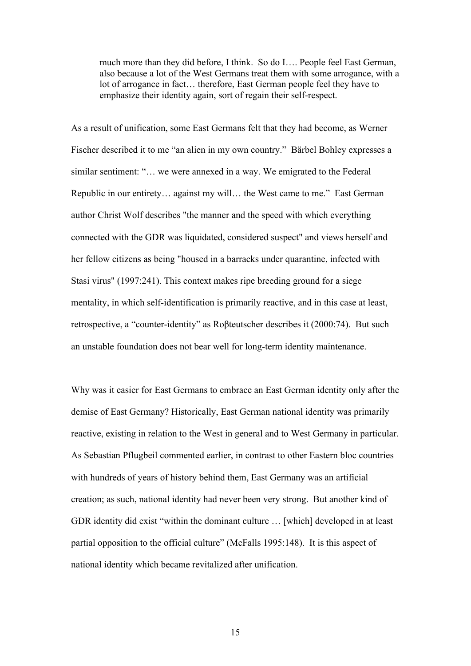much more than they did before, I think. So do I... People feel East German, also because a lot of the West Germans treat them with some arrogance, with a lot of arrogance in fact… therefore, East German people feel they have to emphasize their identity again, sort of regain their self-respect.

As a result of unification, some East Germans felt that they had become, as Werner Fischer described it to me "an alien in my own country." Bärbel Bohley expresses a similar sentiment: "… we were annexed in a way. We emigrated to the Federal Republic in our entirety… against my will… the West came to me." East German author Christ Wolf describes "the manner and the speed with which everything connected with the GDR was liquidated, considered suspect" and views herself and her fellow citizens as being "housed in a barracks under quarantine, infected with Stasi virus" (1997:241). This context makes ripe breeding ground for a siege mentality, in which self-identification is primarily reactive, and in this case at least, retrospective, a "counter-identity" as Roβteutscher describes it (2000:74). But such an unstable foundation does not bear well for long-term identity maintenance.

Why was it easier for East Germans to embrace an East German identity only after the demise of East Germany? Historically, East German national identity was primarily reactive, existing in relation to the West in general and to West Germany in particular. As Sebastian Pflugbeil commented earlier, in contrast to other Eastern bloc countries with hundreds of years of history behind them, East Germany was an artificial creation; as such, national identity had never been very strong. But another kind of GDR identity did exist "within the dominant culture … [which] developed in at least partial opposition to the official culture" (McFalls 1995:148). It is this aspect of national identity which became revitalized after unification.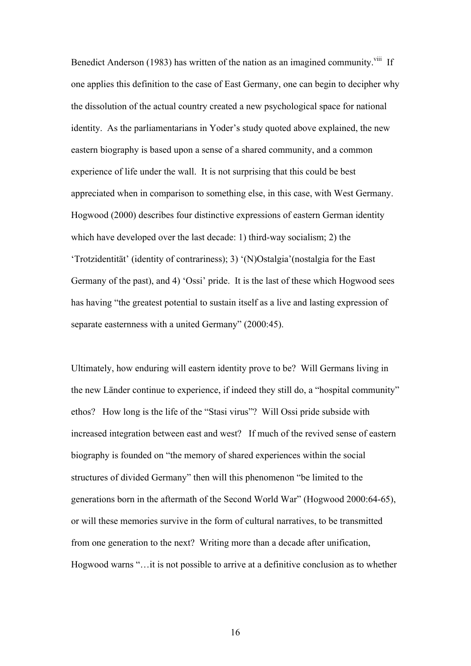Benedict Anderson (1983) has written of the nation as an imagined community.<sup>viii</sup> If one applies this definition to the case of East Germany, one can begin to decipher why the dissolution of the actual country created a new psychological space for national identity. As the parliamentarians in Yoder's study quoted above explained, the new eastern biography is based upon a sense of a shared community, and a common experience of life under the wall. It is not surprising that this could be best appreciated when in comparison to something else, in this case, with West Germany. Hogwood (2000) describes four distinctive expressions of eastern German identity which have developed over the last decade: 1) third-way socialism; 2) the 'Trotzidentität' (identity of contrariness); 3) '(N)Ostalgia'(nostalgia for the East Germany of the past), and 4) 'Ossi' pride. It is the last of these which Hogwood sees has having "the greatest potential to sustain itself as a live and lasting expression of separate easternness with a united Germany" (2000:45).

Ultimately, how enduring will eastern identity prove to be? Will Germans living in the new Länder continue to experience, if indeed they still do, a "hospital community" ethos? How long is the life of the "Stasi virus"? Will Ossi pride subside with increased integration between east and west? If much of the revived sense of eastern biography is founded on "the memory of shared experiences within the social structures of divided Germany" then will this phenomenon "be limited to the generations born in the aftermath of the Second World War" (Hogwood 2000:64-65), or will these memories survive in the form of cultural narratives, to be transmitted from one generation to the next? Writing more than a decade after unification, Hogwood warns "…it is not possible to arrive at a definitive conclusion as to whether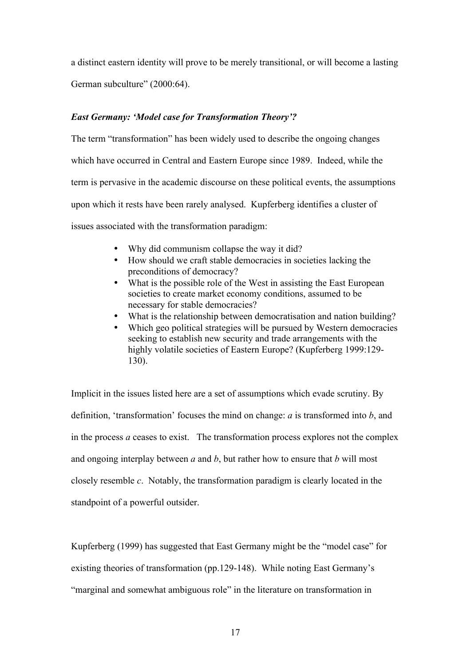a distinct eastern identity will prove to be merely transitional, or will become a lasting German subculture" (2000:64).

### *East Germany: 'Model case for Transformation Theory'?*

The term "transformation" has been widely used to describe the ongoing changes which have occurred in Central and Eastern Europe since 1989. Indeed, while the term is pervasive in the academic discourse on these political events, the assumptions upon which it rests have been rarely analysed. Kupferberg identifies a cluster of issues associated with the transformation paradigm:

- Why did communism collapse the way it did?
- How should we craft stable democracies in societies lacking the preconditions of democracy?
- What is the possible role of the West in assisting the East European societies to create market economy conditions, assumed to be necessary for stable democracies?
- What is the relationship between democratisation and nation building?
- Which geo political strategies will be pursued by Western democracies seeking to establish new security and trade arrangements with the highly volatile societies of Eastern Europe? (Kupferberg 1999:129- 130).

Implicit in the issues listed here are a set of assumptions which evade scrutiny. By definition, 'transformation' focuses the mind on change: *a* is transformed into *b*, and in the process *a* ceases to exist. The transformation process explores not the complex and ongoing interplay between *a* and *b*, but rather how to ensure that *b* will most closely resemble *c*. Notably, the transformation paradigm is clearly located in the standpoint of a powerful outsider.

Kupferberg (1999) has suggested that East Germany might be the "model case" for existing theories of transformation (pp.129-148). While noting East Germany's "marginal and somewhat ambiguous role" in the literature on transformation in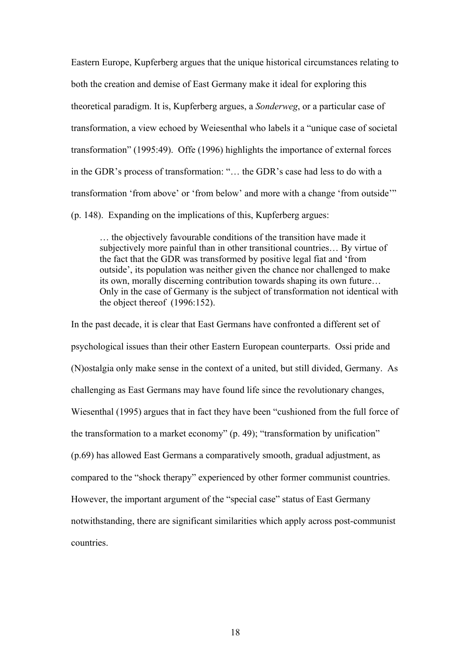Eastern Europe, Kupferberg argues that the unique historical circumstances relating to both the creation and demise of East Germany make it ideal for exploring this theoretical paradigm. It is, Kupferberg argues, a *Sonderweg*, or a particular case of transformation, a view echoed by Weiesenthal who labels it a "unique case of societal transformation" (1995:49). Offe (1996) highlights the importance of external forces in the GDR's process of transformation: "… the GDR's case had less to do with a transformation 'from above' or 'from below' and more with a change 'from outside'" (p. 148). Expanding on the implications of this, Kupferberg argues:

… the objectively favourable conditions of the transition have made it subjectively more painful than in other transitional countries… By virtue of the fact that the GDR was transformed by positive legal fiat and 'from outside', its population was neither given the chance nor challenged to make its own, morally discerning contribution towards shaping its own future… Only in the case of Germany is the subject of transformation not identical with the object thereof (1996:152).

In the past decade, it is clear that East Germans have confronted a different set of psychological issues than their other Eastern European counterparts. Ossi pride and (N)ostalgia only make sense in the context of a united, but still divided, Germany. As challenging as East Germans may have found life since the revolutionary changes, Wiesenthal (1995) argues that in fact they have been "cushioned from the full force of the transformation to a market economy" (p. 49); "transformation by unification" (p.69) has allowed East Germans a comparatively smooth, gradual adjustment, as compared to the "shock therapy" experienced by other former communist countries. However, the important argument of the "special case" status of East Germany notwithstanding, there are significant similarities which apply across post-communist countries.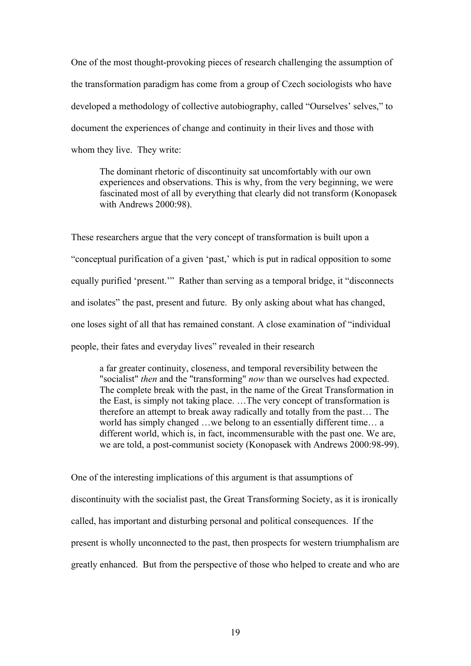One of the most thought-provoking pieces of research challenging the assumption of the transformation paradigm has come from a group of Czech sociologists who have developed a methodology of collective autobiography, called "Ourselves' selves," to document the experiences of change and continuity in their lives and those with whom they live. They write:

The dominant rhetoric of discontinuity sat uncomfortably with our own experiences and observations. This is why, from the very beginning, we were fascinated most of all by everything that clearly did not transform (Konopasek with Andrews 2000:98).

These researchers argue that the very concept of transformation is built upon a "conceptual purification of a given 'past,' which is put in radical opposition to some equally purified 'present.'" Rather than serving as a temporal bridge, it "disconnects and isolates" the past, present and future. By only asking about what has changed, one loses sight of all that has remained constant. A close examination of "individual people, their fates and everyday lives" revealed in their research

a far greater continuity, closeness, and temporal reversibility between the "socialist" *then* and the "transforming" *now* than we ourselves had expected. The complete break with the past, in the name of the Great Transformation in the East, is simply not taking place. …The very concept of transformation is therefore an attempt to break away radically and totally from the past… The world has simply changed …we belong to an essentially different time… a different world, which is, in fact, incommensurable with the past one. We are, we are told, a post-communist society (Konopasek with Andrews 2000:98-99).

One of the interesting implications of this argument is that assumptions of discontinuity with the socialist past, the Great Transforming Society, as it is ironically called, has important and disturbing personal and political consequences. If the present is wholly unconnected to the past, then prospects for western triumphalism are greatly enhanced. But from the perspective of those who helped to create and who are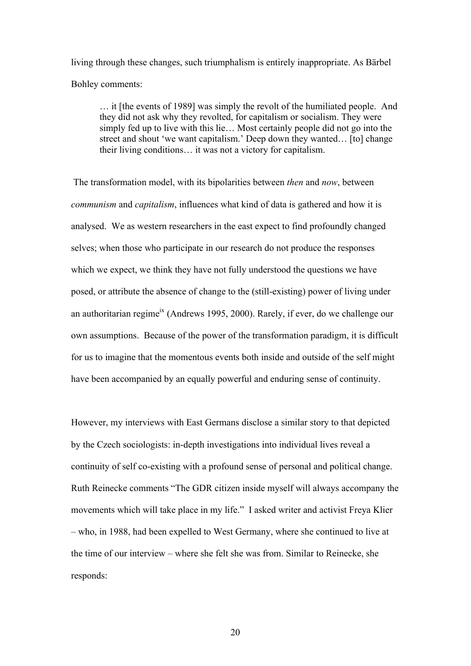living through these changes, such triumphalism is entirely inappropriate. As Bärbel Bohley comments:

… it [the events of 1989] was simply the revolt of the humiliated people. And they did not ask why they revolted, for capitalism or socialism. They were simply fed up to live with this lie… Most certainly people did not go into the street and shout 'we want capitalism.' Deep down they wanted… [to] change their living conditions… it was not a victory for capitalism.

The transformation model, with its bipolarities between *then* and *now*, between *communism* and *capitalism*, influences what kind of data is gathered and how it is analysed. We as western researchers in the east expect to find profoundly changed selves; when those who participate in our research do not produce the responses which we expect, we think they have not fully understood the questions we have posed, or attribute the absence of change to the (still-existing) power of living under an authoritarian regime<sup>ix</sup> (Andrews 1995, 2000). Rarely, if ever, do we challenge our own assumptions. Because of the power of the transformation paradigm, it is difficult for us to imagine that the momentous events both inside and outside of the self might have been accompanied by an equally powerful and enduring sense of continuity.

However, my interviews with East Germans disclose a similar story to that depicted by the Czech sociologists: in-depth investigations into individual lives reveal a continuity of self co-existing with a profound sense of personal and political change. Ruth Reinecke comments "The GDR citizen inside myself will always accompany the movements which will take place in my life." I asked writer and activist Freya Klier – who, in 1988, had been expelled to West Germany, where she continued to live at the time of our interview – where she felt she was from. Similar to Reinecke, she responds: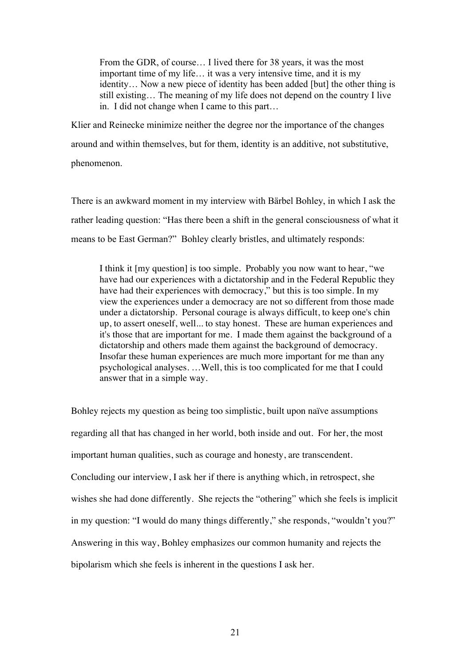From the GDR, of course… I lived there for 38 years, it was the most important time of my life… it was a very intensive time, and it is my identity… Now a new piece of identity has been added [but] the other thing is still existing… The meaning of my life does not depend on the country I live in. I did not change when I came to this part…

Klier and Reinecke minimize neither the degree nor the importance of the changes around and within themselves, but for them, identity is an additive, not substitutive, phenomenon.

There is an awkward moment in my interview with Bärbel Bohley, in which I ask the rather leading question: "Has there been a shift in the general consciousness of what it means to be East German?" Bohley clearly bristles, and ultimately responds:

I think it [my question] is too simple. Probably you now want to hear, "we have had our experiences with a dictatorship and in the Federal Republic they have had their experiences with democracy," but this is too simple. In my view the experiences under a democracy are not so different from those made under a dictatorship. Personal courage is always difficult, to keep one's chin up, to assert oneself, well... to stay honest. These are human experiences and it's those that are important for me. I made them against the background of a dictatorship and others made them against the background of democracy. Insofar these human experiences are much more important for me than any psychological analyses. …Well, this is too complicated for me that I could answer that in a simple way.

Bohley rejects my question as being too simplistic, built upon naïve assumptions regarding all that has changed in her world, both inside and out. For her, the most important human qualities, such as courage and honesty, are transcendent. Concluding our interview, I ask her if there is anything which, in retrospect, she wishes she had done differently. She rejects the "othering" which she feels is implicit in my question: "I would do many things differently," she responds, "wouldn't you?" Answering in this way, Bohley emphasizes our common humanity and rejects the bipolarism which she feels is inherent in the questions I ask her.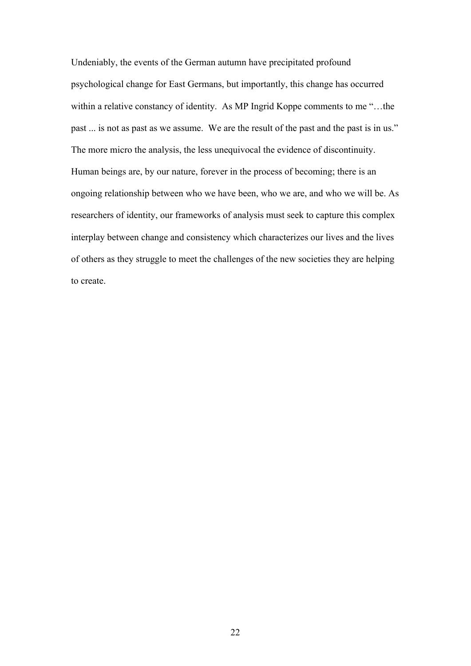Undeniably, the events of the German autumn have precipitated profound psychological change for East Germans, but importantly, this change has occurred within a relative constancy of identity. As MP Ingrid Koppe comments to me "…the past ... is not as past as we assume. We are the result of the past and the past is in us." The more micro the analysis, the less unequivocal the evidence of discontinuity. Human beings are, by our nature, forever in the process of becoming; there is an ongoing relationship between who we have been, who we are, and who we will be. As researchers of identity, our frameworks of analysis must seek to capture this complex interplay between change and consistency which characterizes our lives and the lives of others as they struggle to meet the challenges of the new societies they are helping to create.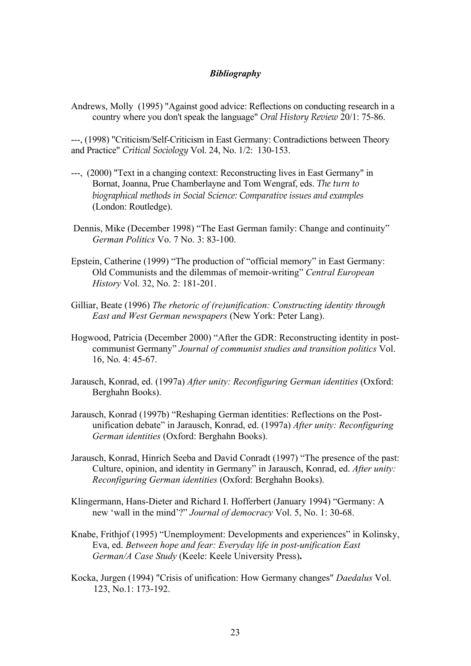## *Bibliography*

Andrews, Molly (1995) "Against good advice: Reflections on conducting research in a country where you don't speak the language" *Oral History Review* 20/1: 75-86.

---, (1998) "Criticism/Self-Criticism in East Germany: Contradictions between Theory and Practice" *Critical Sociology* Vol. 24, No. 1/2: 130-153.

- ---, (2000) "Text in a changing context: Reconstructing lives in East Germany" in Bornat, Joanna, Prue Chamberlayne and Tom Wengraf, eds. *The turn to biographical methods in Social Science: Comparative issues and examples* (London: Routledge).
- Dennis, Mike (December 1998) "The East German family: Change and continuity" *German Politics* Vo. 7 No. 3: 83-100.
- Epstein, Catherine (1999) "The production of "official memory" in East Germany: Old Communists and the dilemmas of memoir-writing" *Central European History* Vol. 32, No. 2: 181-201.
- Gilliar, Beate (1996) *The rhetoric of (re)unification: Constructing identity through East and West German newspapers* (New York: Peter Lang).
- Hogwood, Patricia (December 2000) "After the GDR: Reconstructing identity in postcommunist Germany" *Journal of communist studies and transition politics* Vol. 16, No. 4: 45-67.
- Jarausch, Konrad, ed. (1997a) *After unity: Reconfiguring German identities* (Oxford: Berghahn Books).
- Jarausch, Konrad (1997b) "Reshaping German identities: Reflections on the Postunification debate" in Jarausch, Konrad, ed. (1997a) *After unity: Reconfiguring German identities* (Oxford: Berghahn Books).
- Jarausch, Konrad, Hinrich Seeba and David Conradt (1997) "The presence of the past: Culture, opinion, and identity in Germany" in Jarausch, Konrad, ed. *After unity: Reconfiguring German identities* (Oxford: Berghahn Books).
- Klingermann, Hans-Dieter and Richard I. Hofferbert (January 1994) "Germany: A new 'wall in the mind'?" *Journal of democracy* Vol. 5, No. 1: 30-68.
- Knabe, Frithjof (1995) "Unemployment: Developments and experiences" in Kolinsky, Eva, ed. *Between hope and fear: Everyday life in post-unification East German/A Case Study* (Keele: Keele University Press)**.**
- Kocka, Jurgen (1994) "Crisis of unification: How Germany changes" *Daedalus* Vol. 123, No.1: 173-192.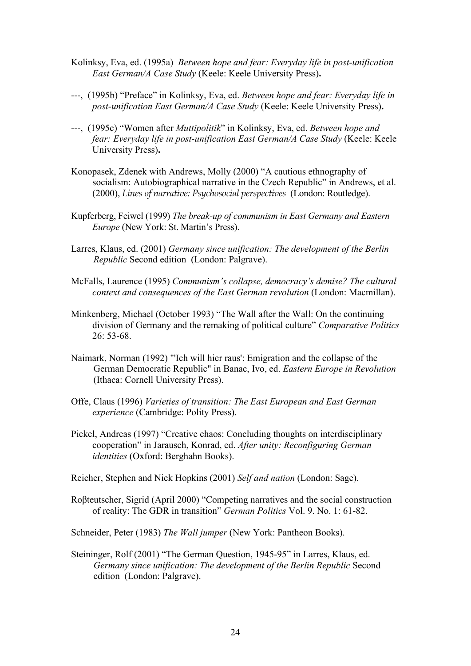- Kolinksy, Eva, ed. (1995a) *Between hope and fear: Everyday life in post-unification East German/A Case Study* (Keele: Keele University Press)**.**
- ---, (1995b) "Preface" in Kolinksy, Eva, ed. *Between hope and fear: Everyday life in post-unification East German/A Case Study* (Keele: Keele University Press)**.**
- ---, (1995c) "Women after *Muttipolitik*" in Kolinksy, Eva, ed. *Between hope and fear: Everyday life in post-unification East German/A Case Study* (Keele: Keele University Press)**.**
- Konopasek, Zdenek with Andrews, Molly (2000) "A cautious ethnography of socialism: Autobiographical narrative in the Czech Republic" in Andrews, et al. (2000), *Lines of narrative: Psychosocial perspectives* (London: Routledge).
- Kupferberg, Feiwel (1999) *The break-up of communism in East Germany and Eastern Europe* (New York: St. Martin's Press).
- Larres, Klaus, ed. (2001) *Germany since unification: The development of the Berlin Republic* Second edition (London: Palgrave).
- McFalls, Laurence (1995) *Communism's collapse, democracy's demise? The cultural context and consequences of the East German revolution* (London: Macmillan).
- Minkenberg, Michael (October 1993) "The Wall after the Wall: On the continuing division of Germany and the remaking of political culture" *Comparative Politics* 26: 53-68.
- Naimark, Norman (1992) "'Ich will hier raus': Emigration and the collapse of the German Democratic Republic" in Banac, Ivo, ed. *Eastern Europe in Revolution* (Ithaca: Cornell University Press).
- Offe, Claus (1996) *Varieties of transition: The East European and East German experience* (Cambridge: Polity Press).
- Pickel, Andreas (1997) "Creative chaos: Concluding thoughts on interdisciplinary cooperation" in Jarausch, Konrad, ed. *After unity: Reconfiguring German identities* (Oxford: Berghahn Books).
- Reicher, Stephen and Nick Hopkins (2001) *Self and nation* (London: Sage).
- Roβteutscher, Sigrid (April 2000) "Competing narratives and the social construction of reality: The GDR in transition" *German Politics* Vol. 9. No. 1: 61-82.

Schneider, Peter (1983) *The Wall jumper* (New York: Pantheon Books).

Steininger, Rolf (2001) "The German Question, 1945-95" in Larres, Klaus, ed. *Germany since unification: The development of the Berlin Republic* Second edition (London: Palgrave).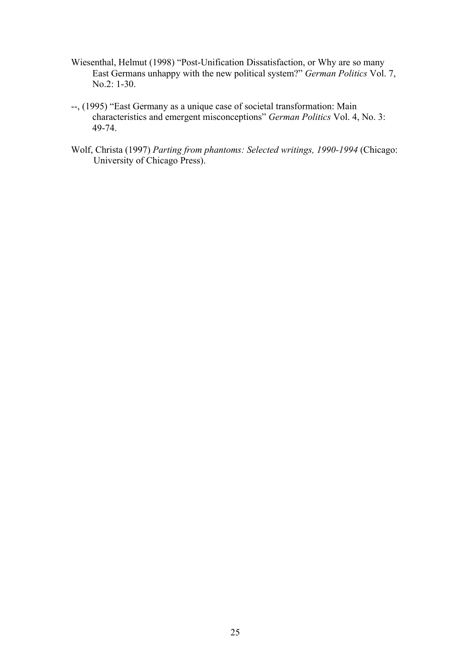- Wiesenthal, Helmut (1998) "Post-Unification Dissatisfaction, or Why are so many East Germans unhappy with the new political system?" *German Politics* Vol. 7, No.2: 1-30.
- --, (1995) "East Germany as a unique case of societal transformation: Main characteristics and emergent misconceptions" *German Politics* Vol. 4, No. 3: 49-74.
- Wolf, Christa (1997) *Parting from phantoms: Selected writings, 1990-1994* (Chicago: University of Chicago Press).